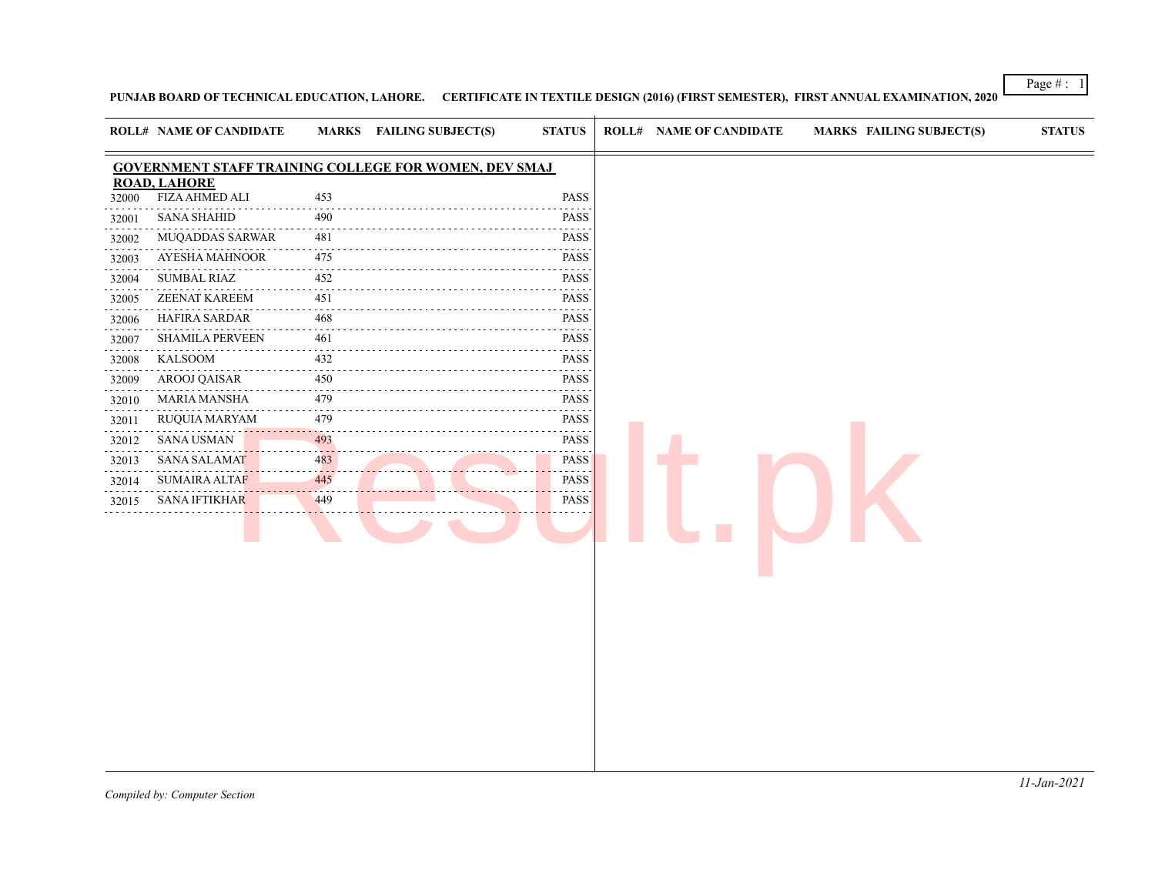Page # : 1

**PUNJAB BOARD OF TECHNICAL EDUCATION, LAHORE. CERTIFICATE IN TEXTILE DESIGN (2016) (FIRST SEMESTER), FIRST ANNUAL EXAMINATION, 2020**

|            | <b>ROLL# NAME OF CANDIDATE</b> | <b>MARKS</b>        | <b>FAILING SUBJECT(S)</b>                                    | <b>STATUS</b>                                                                                                                           | <b>ROLL# NAME OF CANDIDATE</b> | <b>MARKS FAILING SUBJECT(S)</b> | <b>STATUS</b> |
|------------|--------------------------------|---------------------|--------------------------------------------------------------|-----------------------------------------------------------------------------------------------------------------------------------------|--------------------------------|---------------------------------|---------------|
|            |                                |                     | <b>GOVERNMENT STAFF TRAINING COLLEGE FOR WOMEN, DEV SMAJ</b> |                                                                                                                                         |                                |                                 |               |
|            | <b>ROAD, LAHORE</b>            |                     |                                                              |                                                                                                                                         |                                |                                 |               |
| 32000      | <b>FIZA AHMED ALI</b>          | 453                 |                                                              | PASS                                                                                                                                    |                                |                                 |               |
| 32001      | <b>SANA SHAHID</b>             | 490                 |                                                              | PASS                                                                                                                                    |                                |                                 |               |
| 32002      | <b>MUQADDAS SARWAR</b>         | 481                 |                                                              | PASS                                                                                                                                    |                                |                                 |               |
| 32003      | AYESHA MAHNOOR                 | 475                 |                                                              | PASS                                                                                                                                    |                                |                                 |               |
| 32004      | <b>SUMBAL RIAZ</b>             | 452                 |                                                              | PASS                                                                                                                                    |                                |                                 |               |
| 32005      | <b>ZEENAT KAREEM</b>           | 451                 |                                                              | <b>PASS</b>                                                                                                                             |                                |                                 |               |
| 32006      | HAFIRA SARDAR                  | 468                 |                                                              | PASS                                                                                                                                    |                                |                                 |               |
| 32007      | <b>SHAMILA PERVEEN</b>         | 461                 |                                                              | <b>PASS</b>                                                                                                                             |                                |                                 |               |
| 32008      | <b>KALSOOM</b>                 | 432<br>----         |                                                              | PASS                                                                                                                                    |                                |                                 |               |
| 32009      | AROOJ QAISAR                   | 450                 |                                                              | PASS                                                                                                                                    |                                |                                 |               |
| 32010      | MARIA MANSHA                   | 479                 |                                                              | PASS                                                                                                                                    |                                |                                 |               |
| 32011<br>. | <b>RUQUIA MARYAM</b>           | 479<br>$-2 - 1 - 1$ |                                                              | PASS<br>.                                                                                                                               |                                |                                 |               |
| 32012      | <b>SANA USMAN</b>              | 493                 |                                                              | PASS                                                                                                                                    |                                |                                 |               |
| 32013      | <b>SANA SALAMAT</b>            | 483                 |                                                              | PASS<br>$\mathcal{L}^{\mathcal{A}}\mathcal{L}^{\mathcal{A}}\mathcal{L}^{\mathcal{A}}\mathcal{L}^{\mathcal{A}}\mathcal{L}^{\mathcal{A}}$ |                                |                                 |               |
| 32014      | <b>SUMAIRA ALTAF</b>           | 445                 |                                                              | PASS                                                                                                                                    |                                |                                 |               |
| 32015      | <b>SANA IFTIKHAR</b>           | 449                 |                                                              | PASS                                                                                                                                    |                                |                                 |               |
|            |                                |                     |                                                              |                                                                                                                                         |                                |                                 |               |
|            |                                |                     |                                                              |                                                                                                                                         |                                |                                 |               |
|            |                                |                     |                                                              |                                                                                                                                         |                                |                                 |               |
|            |                                |                     |                                                              |                                                                                                                                         |                                |                                 |               |
|            |                                |                     |                                                              |                                                                                                                                         |                                |                                 |               |
|            |                                |                     |                                                              |                                                                                                                                         |                                |                                 |               |
|            |                                |                     |                                                              |                                                                                                                                         |                                |                                 |               |
|            |                                |                     |                                                              |                                                                                                                                         |                                |                                 |               |
|            |                                |                     |                                                              |                                                                                                                                         |                                |                                 |               |
|            |                                |                     |                                                              |                                                                                                                                         |                                |                                 |               |
|            |                                |                     |                                                              |                                                                                                                                         |                                |                                 |               |
|            |                                |                     |                                                              |                                                                                                                                         |                                |                                 |               |